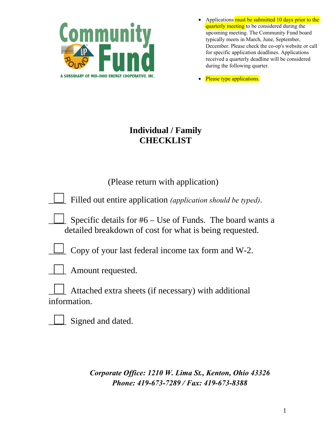

- Applications must be submitted 10 days prior to the quarterly meeting to be considered during the upcoming meeting. The Community Fund board typically meets in March, June, September, December. Please check the co-op's website or call for specific application deadlines. Applications received a quarterly deadline will be considered during the following quarter.
- Please type applications.

# **Individual / Family CHECKLIST**

| (Please return with application)                                                                                       |
|------------------------------------------------------------------------------------------------------------------------|
| Filled out entire application (application should be typed).                                                           |
| Specific details for $#6 -$ Use of Funds. The board wants a<br>detailed breakdown of cost for what is being requested. |
| Copy of your last federal income tax form and W-2.                                                                     |
| Amount requested.                                                                                                      |
| Attached extra sheets (if necessary) with additional<br>information.                                                   |

Signed and dated.

*Corporate Office: 1210 W. Lima St., Kenton, Ohio 43326 Phone: 419-673-7289 / Fax: 419-673-8388*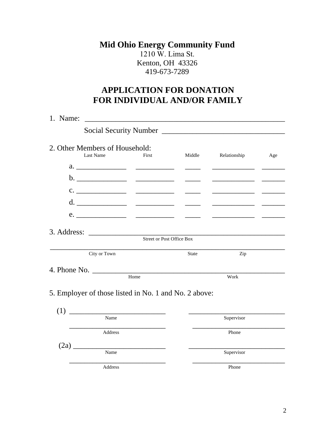### **Mid Ohio Energy Community Fund**  1210 W. Lima St. Kenton, OH 43326 419-673-7289

# **APPLICATION FOR DONATION FOR INDIVIDUAL AND/OR FAMILY**

| 1. Name: |                                                       |                                  |                           |                                                                                                                        |     |  |
|----------|-------------------------------------------------------|----------------------------------|---------------------------|------------------------------------------------------------------------------------------------------------------------|-----|--|
|          |                                                       |                                  |                           |                                                                                                                        |     |  |
|          | 2. Other Members of Household:<br><b>Last Name</b>    | First                            | Middle                    | Relationship                                                                                                           | Age |  |
|          |                                                       |                                  |                           |                                                                                                                        |     |  |
|          |                                                       |                                  |                           |                                                                                                                        |     |  |
|          |                                                       |                                  |                           | <u> 1980 - Jan Barbarat, politik eta pro</u>                                                                           |     |  |
|          |                                                       |                                  | <u> 1986 - Andrea Sta</u> | <u> 1989 - Johann John Harry Barn, mars and de Branch and de Branch and de Branch and de Branch and de Branch and </u> |     |  |
|          |                                                       |                                  |                           |                                                                                                                        |     |  |
|          | City or Town                                          | <b>Street or Post Office Box</b> | State                     | Zip                                                                                                                    |     |  |
|          |                                                       |                                  |                           |                                                                                                                        |     |  |
|          |                                                       | Home                             |                           | Work                                                                                                                   |     |  |
|          | 5. Employer of those listed in No. 1 and No. 2 above: |                                  |                           |                                                                                                                        |     |  |
|          | Name                                                  |                                  |                           | Supervisor                                                                                                             |     |  |
|          | Address                                               |                                  |                           | Phone                                                                                                                  |     |  |
|          | (2a)<br>Name                                          |                                  |                           | Supervisor                                                                                                             |     |  |
|          | Address                                               |                                  |                           | Phone                                                                                                                  |     |  |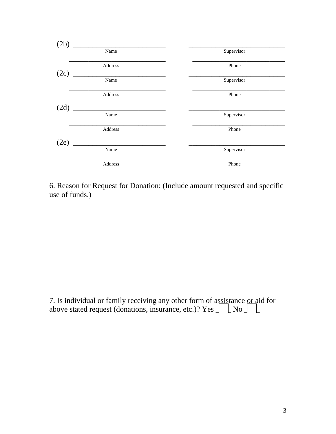

6. Reason for Request for Donation: (Include amount requested and specific use of funds.)

7. Is individual or family receiving any other form of assistance or aid for above stated request (donations, insurance, etc.)? Yes  $\Box$  No  $\Box$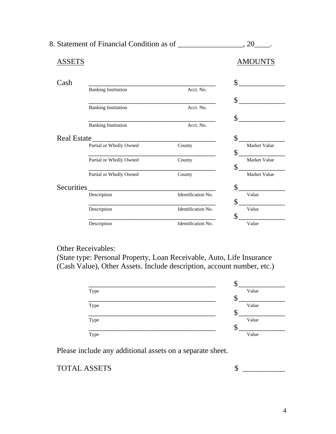| ASSETS             |                            |                    | <b>AMOUNTS</b> |
|--------------------|----------------------------|--------------------|----------------|
| Cash               |                            |                    | \$             |
|                    | <b>Banking Institution</b> | Acct. No.          |                |
|                    |                            |                    | $\mathbb{S}$   |
|                    | <b>Banking Institution</b> | Acct. No.          |                |
|                    |                            |                    | \$             |
|                    | <b>Banking Institution</b> | Acct. No.          |                |
| <b>Real Estate</b> |                            |                    | \$             |
|                    | Partial or Wholly Owned    | County             | Market Value   |
|                    |                            |                    | \$             |
|                    | Partial or Wholly Owned    | County             | Market Value   |
|                    |                            |                    | \$             |
|                    | Partial or Wholly Owned    | County             | Market Value   |
| Securities         |                            |                    | \$             |
|                    | Description                | Identification No. | Value          |
|                    |                            |                    | \$             |
|                    | Description                | Identification No. | Value          |
|                    |                            |                    | \$             |
|                    | Description                | Identification No. | Value          |

8. Statement of Financial Condition as of \_\_\_\_\_\_\_\_\_\_\_\_\_\_\_\_, 20\_\_\_\_.

### Other Receivables:

(State type: Personal Property, Loan Receivable, Auto, Life Insurance (Cash Value), Other Assets. Include description, account number, etc.)



Please include any additional assets on a separate sheet.

TOTAL ASSETS  $\qquad \qquad$  \$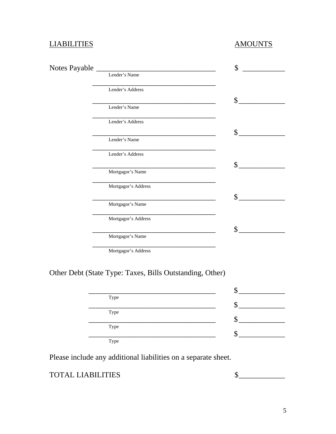### LIABILITIES AMOUNTS

| Notes Payable |                     | \$            |
|---------------|---------------------|---------------|
|               | Lender's Name       |               |
|               | Lender's Address    |               |
|               |                     | $\mathcal{S}$ |
|               | Lender's Name       |               |
|               | Lender's Address    |               |
|               |                     | \$            |
|               | Lender's Name       |               |
|               | Lender's Address    |               |
|               |                     | \$            |
|               | Mortgagor's Name    |               |
|               | Mortgagor's Address |               |
|               |                     | \$            |
|               | Mortgagor's Name    |               |
|               | Mortgagor's Address |               |
|               |                     | $\mathcal{S}$ |
|               | Mortgagor's Name    |               |
|               |                     |               |

\_\_\_\_\_\_\_\_\_\_\_\_\_\_\_\_\_\_\_\_\_\_\_\_\_\_\_\_\_\_\_\_ Mortgagor's Address

# Other Debt (State Type: Taxes, Bills Outstanding, Other)

| Type |  |
|------|--|
|      |  |
| Type |  |
|      |  |
| Type |  |
|      |  |
| Type |  |

Please include any additional liabilities on a separate sheet.

### TOTAL LIABILITIES  $\qquad \qquad \qquad$  \$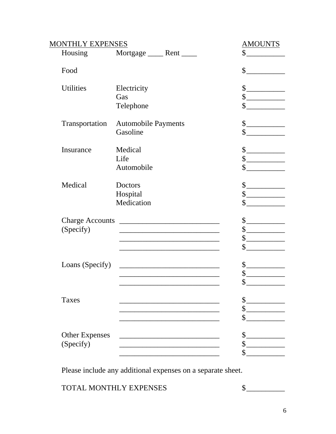| MONTHLY EXPENSES       |                                                                   | <b>AMOUNTS</b>                                                                                                                                                                                                                                                                                                                                      |
|------------------------|-------------------------------------------------------------------|-----------------------------------------------------------------------------------------------------------------------------------------------------------------------------------------------------------------------------------------------------------------------------------------------------------------------------------------------------|
| Housing                | Mortgage ______ Rent _____                                        | \$                                                                                                                                                                                                                                                                                                                                                  |
| Food                   |                                                                   | $\frac{1}{2}$                                                                                                                                                                                                                                                                                                                                       |
| <b>Utilities</b>       | Electricity                                                       | $\frac{1}{1}$                                                                                                                                                                                                                                                                                                                                       |
|                        | Gas                                                               | $\begin{picture}(20,20) \put(0,0){\line(1,0){10}} \put(15,0){\line(1,0){10}} \put(15,0){\line(1,0){10}} \put(15,0){\line(1,0){10}} \put(15,0){\line(1,0){10}} \put(15,0){\line(1,0){10}} \put(15,0){\line(1,0){10}} \put(15,0){\line(1,0){10}} \put(15,0){\line(1,0){10}} \put(15,0){\line(1,0){10}} \put(15,0){\line(1,0){10}} \put(15,0){\line(1$ |
|                        | Telephone                                                         | $\sim$ $\sim$                                                                                                                                                                                                                                                                                                                                       |
| Transportation         | <b>Automobile Payments</b>                                        | $\begin{picture}(20,20) \put(0,0){\line(1,0){10}} \put(15,0){\line(1,0){10}} \put(15,0){\line(1,0){10}} \put(15,0){\line(1,0){10}} \put(15,0){\line(1,0){10}} \put(15,0){\line(1,0){10}} \put(15,0){\line(1,0){10}} \put(15,0){\line(1,0){10}} \put(15,0){\line(1,0){10}} \put(15,0){\line(1,0){10}} \put(15,0){\line(1,0){10}} \put(15,0){\line(1$ |
|                        | Gasoline                                                          | $\frac{1}{2}$                                                                                                                                                                                                                                                                                                                                       |
| Insurance              | Medical                                                           | $\frac{1}{2}$                                                                                                                                                                                                                                                                                                                                       |
|                        | Life                                                              | $\begin{picture}(20,20) \put(0,0){\line(1,0){100}} \put(15,0){\line(1,0){100}} \put(15,0){\line(1,0){100}} \put(15,0){\line(1,0){100}} \put(15,0){\line(1,0){100}} \put(15,0){\line(1,0){100}} \put(15,0){\line(1,0){100}} \put(15,0){\line(1,0){100}} \put(15,0){\line(1,0){100}} \put(15,0){\line(1,0){100}} \put(15,0){\line(1,0){100}} \$       |
|                        | Automobile                                                        | $\mathbb{S}$                                                                                                                                                                                                                                                                                                                                        |
| Medical                | Doctors                                                           | $\frac{1}{1}$                                                                                                                                                                                                                                                                                                                                       |
|                        | Hospital                                                          | $\frac{\text{S}}{\text{S}}$                                                                                                                                                                                                                                                                                                                         |
|                        | Medication                                                        | $\sim$                                                                                                                                                                                                                                                                                                                                              |
| <b>Charge Accounts</b> |                                                                   | $\begin{picture}(20,20) \put(0,0){\line(1,0){10}} \put(15,0){\line(1,0){10}} \put(15,0){\line(1,0){10}} \put(15,0){\line(1,0){10}} \put(15,0){\line(1,0){10}} \put(15,0){\line(1,0){10}} \put(15,0){\line(1,0){10}} \put(15,0){\line(1,0){10}} \put(15,0){\line(1,0){10}} \put(15,0){\line(1,0){10}} \put(15,0){\line(1,0){10}} \put(15,0){\line(1$ |
| (Specify)              | <u> 1989 - Johann John Stone, mars eta biztanleria (h. 1989).</u> | $\begin{picture}(20,20) \put(0,0){\line(1,0){10}} \put(15,0){\line(1,0){10}} \put(15,0){\line(1,0){10}} \put(15,0){\line(1,0){10}} \put(15,0){\line(1,0){10}} \put(15,0){\line(1,0){10}} \put(15,0){\line(1,0){10}} \put(15,0){\line(1,0){10}} \put(15,0){\line(1,0){10}} \put(15,0){\line(1,0){10}} \put(15,0){\line(1,0){10}} \put(15,0){\line(1$ |
|                        |                                                                   | $\begin{picture}(20,20) \put(0,0){\line(1,0){100}} \put(15,0){\line(1,0){100}} \put(15,0){\line(1,0){100}} \put(15,0){\line(1,0){100}} \put(15,0){\line(1,0){100}} \put(15,0){\line(1,0){100}} \put(15,0){\line(1,0){100}} \put(15,0){\line(1,0){100}} \put(15,0){\line(1,0){100}} \put(15,0){\line(1,0){100}} \put(15,0){\line(1,0){100}} \$       |
|                        | <u> 1980 - Johann John Stone, mars eta biztanleria (</u>          |                                                                                                                                                                                                                                                                                                                                                     |
| Loans (Specify)        |                                                                   | $\frac{\text{S}}{\text{S}}$                                                                                                                                                                                                                                                                                                                         |
|                        |                                                                   | $\mathsf{S}_-$                                                                                                                                                                                                                                                                                                                                      |
|                        |                                                                   | \$                                                                                                                                                                                                                                                                                                                                                  |
| Taxes                  |                                                                   | \$                                                                                                                                                                                                                                                                                                                                                  |
|                        |                                                                   | \$                                                                                                                                                                                                                                                                                                                                                  |
|                        |                                                                   | \$                                                                                                                                                                                                                                                                                                                                                  |
| <b>Other Expenses</b>  |                                                                   | \$                                                                                                                                                                                                                                                                                                                                                  |
| (Specify)              |                                                                   | \$                                                                                                                                                                                                                                                                                                                                                  |
|                        |                                                                   | \$                                                                                                                                                                                                                                                                                                                                                  |

Please include any additional expenses on a separate sheet.

TOTAL MONTHLY EXPENSES  $\qquad \qquad$  \$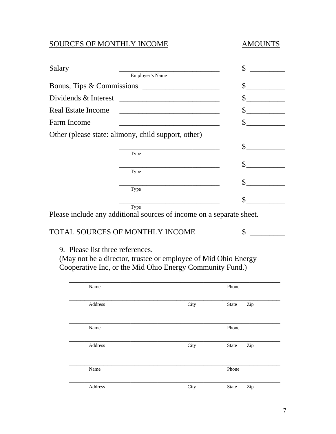# SOURCES OF MONTHLY INCOME AMOUNTS

| Salary                           |                                                                                           | \$                         |
|----------------------------------|-------------------------------------------------------------------------------------------|----------------------------|
|                                  | Employer's Name                                                                           |                            |
|                                  |                                                                                           | <u> 1999 - Jan Barnett</u> |
| Dividends & Interest             |                                                                                           |                            |
| <b>Real Estate Income</b>        | the control of the control of the control of the control of the control of the control of |                            |
| Farm Income                      |                                                                                           | $\sim$ $\sim$              |
|                                  | Other (please state: alimony, child support, other)                                       |                            |
|                                  |                                                                                           | $\mathbb{S}^-$             |
|                                  | Type                                                                                      |                            |
|                                  | Type                                                                                      | \$                         |
|                                  |                                                                                           |                            |
|                                  | the control of the control of the control of the control of the control of<br>Type        |                            |
|                                  |                                                                                           | \$                         |
|                                  | Type<br>Please include any additional sources of income on a separate sheet.              |                            |
|                                  | <b>TOTAL SOURCES OF MONTHLY INCOME</b>                                                    | \$                         |
| 9. Please list three references. |                                                                                           |                            |
|                                  | (May not be a director, trustee or employee of Mid Ohio Energy                            |                            |
|                                  | Cooperative Inc, or the Mid Ohio Energy Community Fund.)                                  |                            |
| Name                             |                                                                                           | Phone                      |
|                                  |                                                                                           |                            |

| Address | City | State        | Zip |
|---------|------|--------------|-----|
|         |      |              |     |
|         |      |              |     |
| Name    |      | Phone        |     |
|         |      |              |     |
|         |      |              |     |
| Address | City | State        | Zip |
|         |      |              |     |
|         |      |              |     |
| Name    |      | Phone        |     |
|         |      |              |     |
| Address | City | <b>State</b> | Zip |
|         |      |              |     |